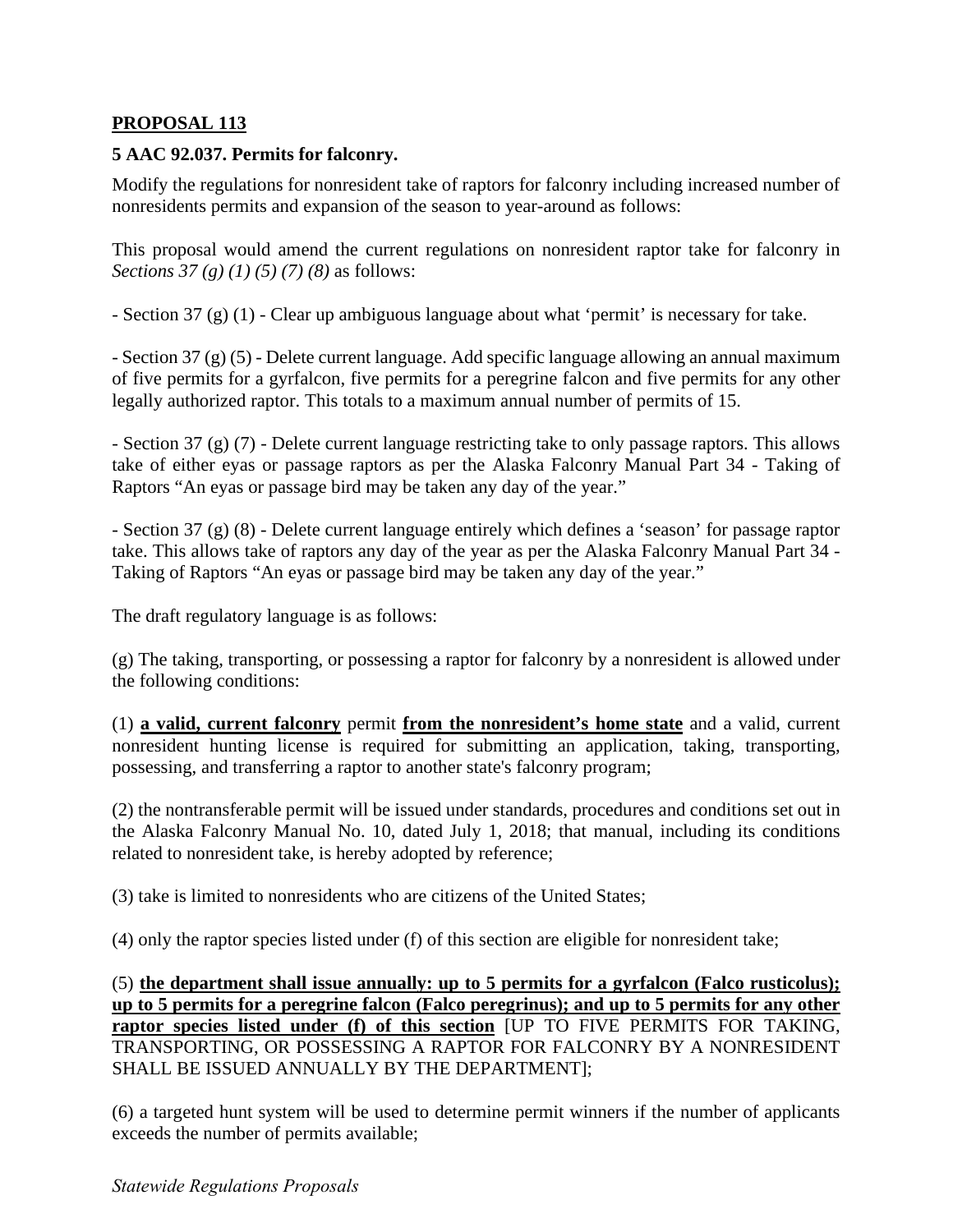# **PROPOSAL 113**

# **5 AAC 92.037. Permits for falconry.**

Modify the regulations for nonresident take of raptors for falconry including increased number of nonresidents permits and expansion of the season to year-around as follows:

This proposal would amend the current regulations on nonresident raptor take for falconry in *Sections 37 (g) (1) (5) (7) (8) as follows:* 

- Section 37 (g) (1) - Clear up ambiguous language about what 'permit' is necessary for take.

- Section 37 (g) (5) - Delete current language. Add specific language allowing an annual maximum of five permits for a gyrfalcon, five permits for a peregrine falcon and five permits for any other legally authorized raptor. This totals to a maximum annual number of permits of 15.

- Section 37 (g) (7) - Delete current language restricting take to only passage raptors. This allows take of either eyas or passage raptors as per the Alaska Falconry Manual Part 34 - Taking of Raptors "An eyas or passage bird may be taken any day of the year."

- Section 37 (g) (8) - Delete current language entirely which defines a 'season' for passage raptor take. This allows take of raptors any day of the year as per the Alaska Falconry Manual Part 34 - Taking of Raptors "An eyas or passage bird may be taken any day of the year."

The draft regulatory language is as follows:

(g) The taking, transporting, or possessing a raptor for falconry by a nonresident is allowed under the following conditions:

(1) **a valid, current falconry** permit **from the nonresident's home state** and a valid, current nonresident hunting license is required for submitting an application, taking, transporting, possessing, and transferring a raptor to another state's falconry program;

(2) the nontransferable permit will be issued under standards, procedures and conditions set out in the Alaska Falconry Manual No. 10, dated July 1, 2018; that manual, including its conditions related to nonresident take, is hereby adopted by reference;

(3) take is limited to nonresidents who are citizens of the United States;

(4) only the raptor species listed under (f) of this section are eligible for nonresident take;

(5) **the department shall issue annually: up to 5 permits for a gyrfalcon (Falco rusticolus); up to 5 permits for a peregrine falcon (Falco peregrinus); and up to 5 permits for any other raptor species listed under (f) of this section** [UP TO FIVE PERMITS FOR TAKING, TRANSPORTING, OR POSSESSING A RAPTOR FOR FALCONRY BY A NONRESIDENT SHALL BE ISSUED ANNUALLY BY THE DEPARTMENT];

(6) a targeted hunt system will be used to determine permit winners if the number of applicants exceeds the number of permits available;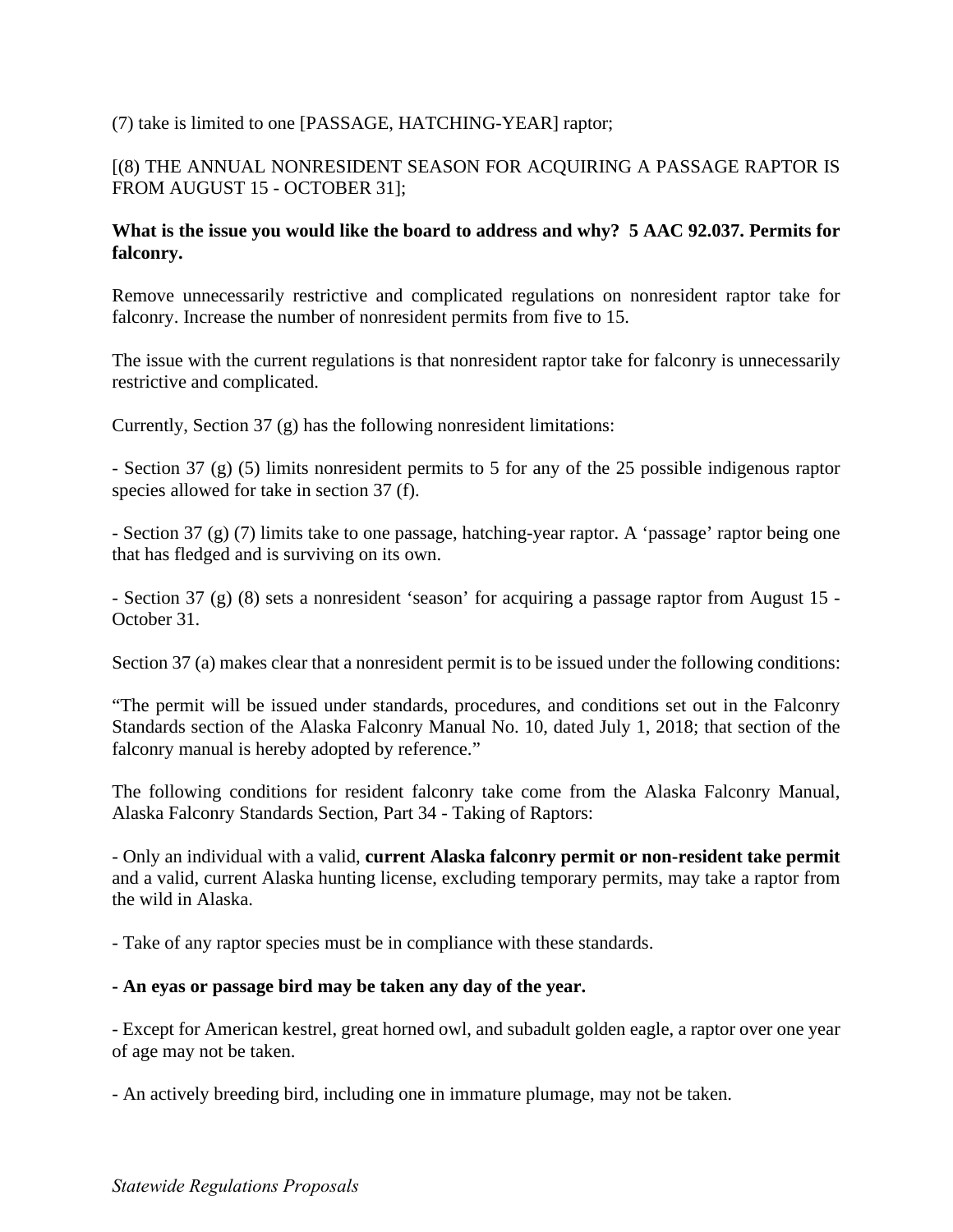# (7) take is limited to one [PASSAGE, HATCHING-YEAR] raptor;

# [(8) THE ANNUAL NONRESIDENT SEASON FOR ACQUIRING A PASSAGE RAPTOR IS FROM AUGUST 15 - OCTOBER 31];

# **What is the issue you would like the board to address and why? 5 AAC 92.037. Permits for falconry.**

Remove unnecessarily restrictive and complicated regulations on nonresident raptor take for falconry. Increase the number of nonresident permits from five to 15.

The issue with the current regulations is that nonresident raptor take for falconry is unnecessarily restrictive and complicated.

Currently, Section 37 (g) has the following nonresident limitations:

- Section 37 (g) (5) limits nonresident permits to 5 for any of the 25 possible indigenous raptor species allowed for take in section 37 (f).

- Section 37 (g) (7) limits take to one passage, hatching-year raptor. A 'passage' raptor being one that has fledged and is surviving on its own.

- Section 37 (g) (8) sets a nonresident 'season' for acquiring a passage raptor from August 15 - October 31.

Section 37 (a) makes clear that a nonresident permit is to be issued under the following conditions:

"The permit will be issued under standards, procedures, and conditions set out in the Falconry Standards section of the Alaska Falconry Manual No. 10, dated July 1, 2018; that section of the falconry manual is hereby adopted by reference."

The following conditions for resident falconry take come from the Alaska Falconry Manual, Alaska Falconry Standards Section, Part 34 - Taking of Raptors:

- Only an individual with a valid, **current Alaska falconry permit or non-resident take permit**  and a valid, current Alaska hunting license, excluding temporary permits, may take a raptor from the wild in Alaska.

- Take of any raptor species must be in compliance with these standards.

# **- An eyas or passage bird may be taken any day of the year.**

- Except for American kestrel, great horned owl, and subadult golden eagle, a raptor over one year of age may not be taken.

- An actively breeding bird, including one in immature plumage, may not be taken.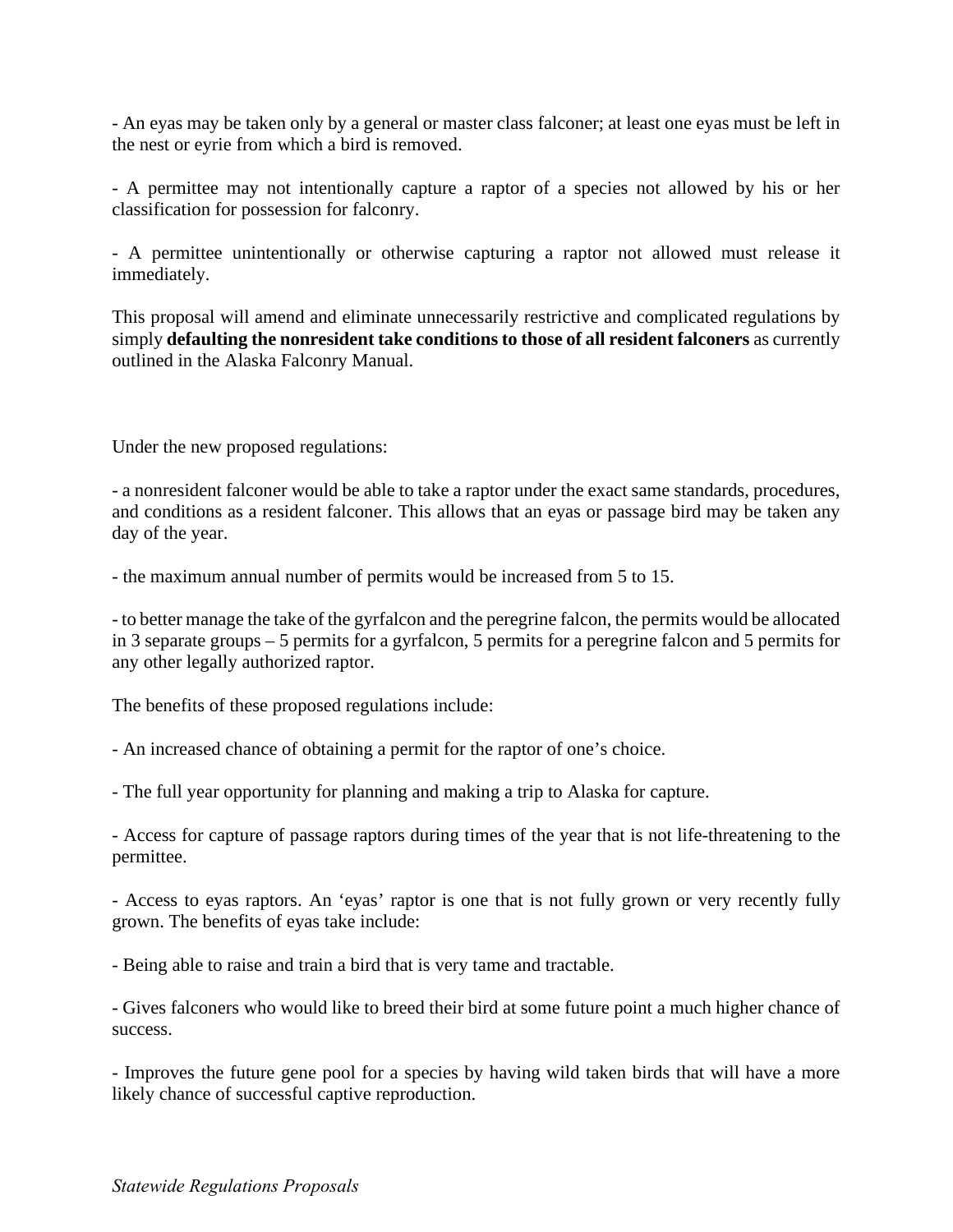- An eyas may be taken only by a general or master class falconer; at least one eyas must be left in the nest or eyrie from which a bird is removed.

- A permittee may not intentionally capture a raptor of a species not allowed by his or her classification for possession for falconry.

- A permittee unintentionally or otherwise capturing a raptor not allowed must release it immediately.

This proposal will amend and eliminate unnecessarily restrictive and complicated regulations by simply **defaulting the nonresident take conditions to those of all resident falconers** as currently outlined in the Alaska Falconry Manual.

Under the new proposed regulations:

- a nonresident falconer would be able to take a raptor under the exact same standards, procedures, and conditions as a resident falconer. This allows that an eyas or passage bird may be taken any day of the year.

- the maximum annual number of permits would be increased from 5 to 15.

- to better manage the take of the gyrfalcon and the peregrine falcon, the permits would be allocated in 3 separate groups – 5 permits for a gyrfalcon, 5 permits for a peregrine falcon and 5 permits for any other legally authorized raptor.

The benefits of these proposed regulations include:

- An increased chance of obtaining a permit for the raptor of one's choice.

- The full year opportunity for planning and making a trip to Alaska for capture.

- Access for capture of passage raptors during times of the year that is not life-threatening to the permittee.

- Access to eyas raptors. An 'eyas' raptor is one that is not fully grown or very recently fully grown. The benefits of eyas take include:

- Being able to raise and train a bird that is very tame and tractable.

- Gives falconers who would like to breed their bird at some future point a much higher chance of success.

- Improves the future gene pool for a species by having wild taken birds that will have a more likely chance of successful captive reproduction.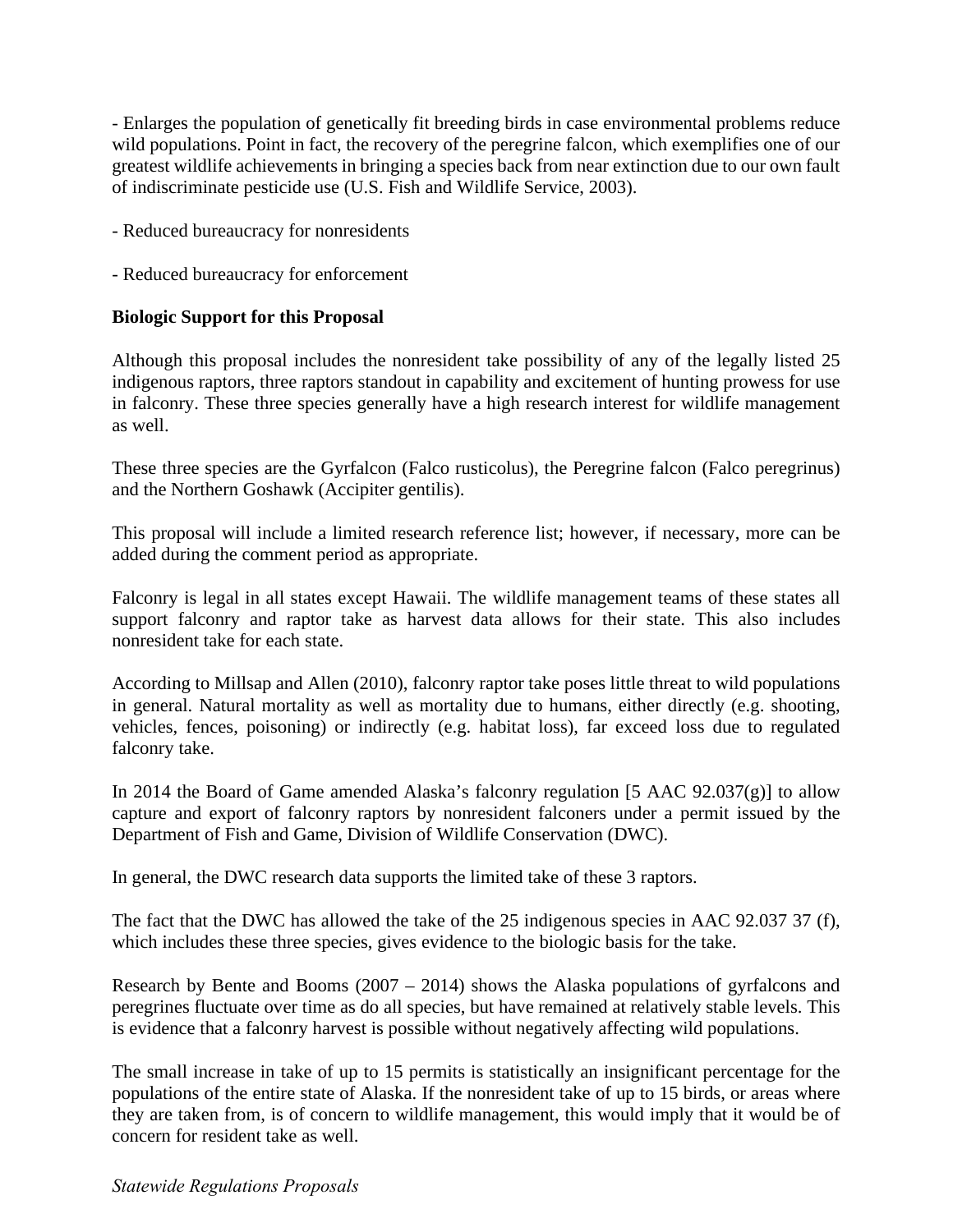- Enlarges the population of genetically fit breeding birds in case environmental problems reduce wild populations. Point in fact, the recovery of the peregrine falcon, which exemplifies one of our greatest wildlife achievements in bringing a species back from near extinction due to our own fault of indiscriminate pesticide use (U.S. Fish and Wildlife Service, 2003).

- Reduced bureaucracy for nonresidents
- Reduced bureaucracy for enforcement

## **Biologic Support for this Proposal**

Although this proposal includes the nonresident take possibility of any of the legally listed 25 indigenous raptors, three raptors standout in capability and excitement of hunting prowess for use in falconry. These three species generally have a high research interest for wildlife management as well.

These three species are the Gyrfalcon (Falco rusticolus), the Peregrine falcon (Falco peregrinus) and the Northern Goshawk (Accipiter gentilis).

This proposal will include a limited research reference list; however, if necessary, more can be added during the comment period as appropriate.

Falconry is legal in all states except Hawaii. The wildlife management teams of these states all support falconry and raptor take as harvest data allows for their state. This also includes nonresident take for each state.

According to Millsap and Allen (2010), falconry raptor take poses little threat to wild populations in general. Natural mortality as well as mortality due to humans, either directly (e.g. shooting, vehicles, fences, poisoning) or indirectly (e.g. habitat loss), far exceed loss due to regulated falconry take.

In 2014 the Board of Game amended Alaska's falconry regulation [5 AAC 92.037(g)] to allow capture and export of falconry raptors by nonresident falconers under a permit issued by the Department of Fish and Game, Division of Wildlife Conservation (DWC).

In general, the DWC research data supports the limited take of these 3 raptors.

The fact that the DWC has allowed the take of the 25 indigenous species in AAC 92.037 37 (f), which includes these three species, gives evidence to the biologic basis for the take.

Research by Bente and Booms (2007 – 2014) shows the Alaska populations of gyrfalcons and peregrines fluctuate over time as do all species, but have remained at relatively stable levels. This is evidence that a falconry harvest is possible without negatively affecting wild populations.

The small increase in take of up to 15 permits is statistically an insignificant percentage for the populations of the entire state of Alaska. If the nonresident take of up to 15 birds, or areas where they are taken from, is of concern to wildlife management, this would imply that it would be of concern for resident take as well.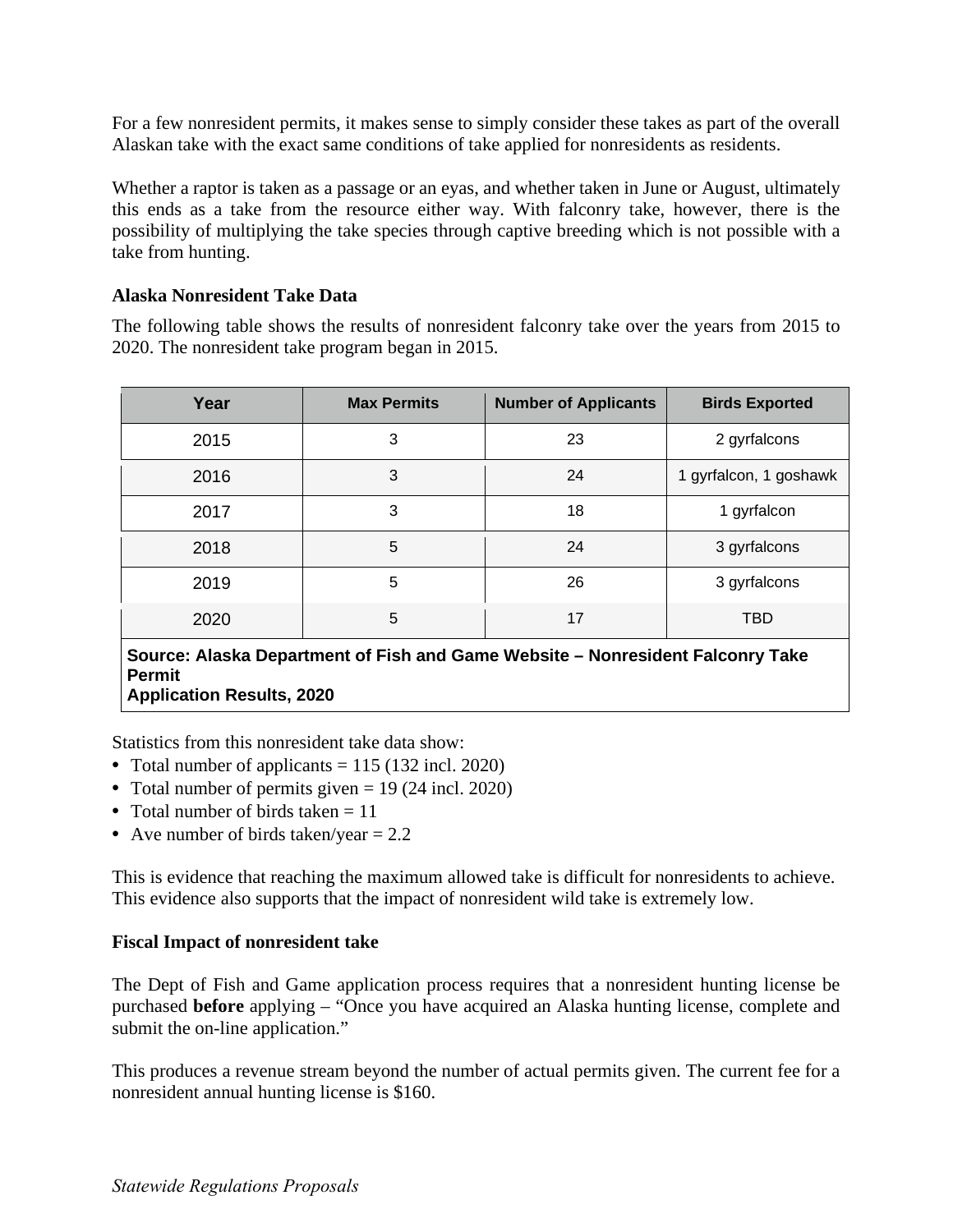For a few nonresident permits, it makes sense to simply consider these takes as part of the overall Alaskan take with the exact same conditions of take applied for nonresidents as residents.

Whether a raptor is taken as a passage or an eyas, and whether taken in June or August, ultimately this ends as a take from the resource either way. With falconry take, however, there is the possibility of multiplying the take species through captive breeding which is not possible with a take from hunting.

## **Alaska Nonresident Take Data**

The following table shows the results of nonresident falconry take over the years from 2015 to 2020. The nonresident take program began in 2015.

| Year                                                                            | <b>Max Permits</b> | <b>Number of Applicants</b> | <b>Birds Exported</b>  |
|---------------------------------------------------------------------------------|--------------------|-----------------------------|------------------------|
| 2015                                                                            | 3                  | 23                          | 2 gyrfalcons           |
| 2016                                                                            | 3                  | 24                          | 1 gyrfalcon, 1 goshawk |
| 2017                                                                            | 3                  | 18                          | 1 gyrfalcon            |
| 2018                                                                            | 5                  | 24                          | 3 gyrfalcons           |
| 2019                                                                            | 5                  | 26                          | 3 gyrfalcons           |
| 2020                                                                            | 5                  | 17                          | <b>TBD</b>             |
| Source: Algelia Department of Eich and Came Website - Nepresident Falconry Take |                    |                             |                        |

**Source: Alaska Department of Fish and Game Website – Nonresident Falconry Take Permit Application Results, 2020** 

Statistics from this nonresident take data show:

- Total number of applicants  $= 115 (132 \text{ incl. } 2020)$
- Total number of permits given  $= 19$  (24 incl. 2020)
- Total number of birds taken  $= 11$
- Ave number of birds taken/year  $= 2.2$

This is evidence that reaching the maximum allowed take is difficult for nonresidents to achieve. This evidence also supports that the impact of nonresident wild take is extremely low.

# **Fiscal Impact of nonresident take**

The Dept of Fish and Game application process requires that a nonresident hunting license be purchased **before** applying – "Once you have acquired an Alaska hunting license, complete and submit the on-line application."

This produces a revenue stream beyond the number of actual permits given. The current fee for a nonresident annual hunting license is \$160.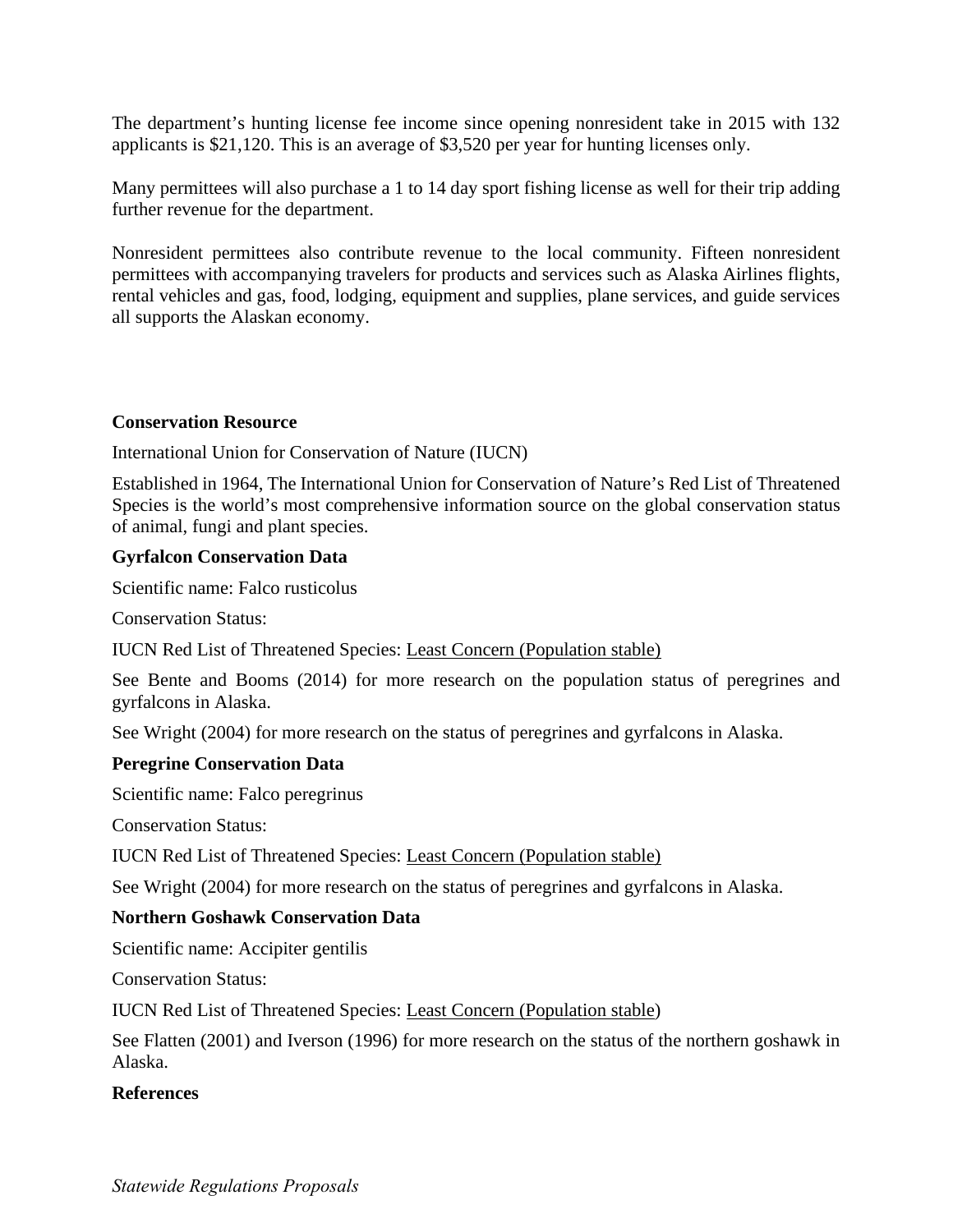The department's hunting license fee income since opening nonresident take in 2015 with 132 applicants is \$21,120. This is an average of \$3,520 per year for hunting licenses only.

Many permittees will also purchase a 1 to 14 day sport fishing license as well for their trip adding further revenue for the department.

Nonresident permittees also contribute revenue to the local community. Fifteen nonresident permittees with accompanying travelers for products and services such as Alaska Airlines flights, rental vehicles and gas, food, lodging, equipment and supplies, plane services, and guide services all supports the Alaskan economy.

## **Conservation Resource**

International Union for Conservation of Nature (IUCN)

Established in 1964, The International Union for Conservation of Nature's Red List of Threatened Species is the world's most comprehensive information source on the global conservation status of animal, fungi and plant species.

## **Gyrfalcon Conservation Data**

Scientific name: Falco rusticolus

Conservation Status:

IUCN Red List of Threatened Species: Least Concern (Population stable)

See Bente and Booms (2014) for more research on the population status of peregrines and gyrfalcons in Alaska.

See Wright (2004) for more research on the status of peregrines and gyrfalcons in Alaska.

### **Peregrine Conservation Data**

Scientific name: Falco peregrinus

Conservation Status:

IUCN Red List of Threatened Species: Least Concern (Population stable)

See Wright (2004) for more research on the status of peregrines and gyrfalcons in Alaska.

# **Northern Goshawk Conservation Data**

Scientific name: Accipiter gentilis

Conservation Status:

IUCN Red List of Threatened Species: Least Concern (Population stable)

See Flatten (2001) and Iverson (1996) for more research on the status of the northern goshawk in Alaska.

### **References**